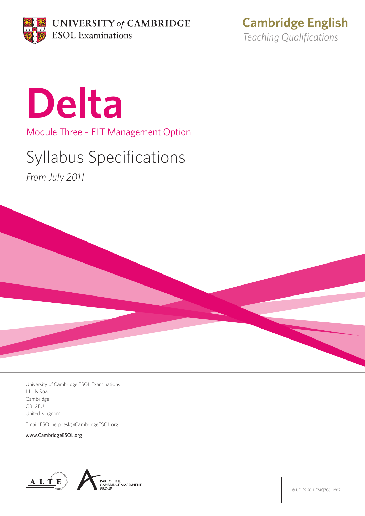

**Cambridge English** *Teaching Qualifications*



Module Three – ELT Management Option

## Syllabus Specifications

*From July 2011*



University of Cambridge ESOL Examinations 1 Hills Road Cambridge CB1 2EU United Kingdom

Email: ESOLhelpdesk@CambridgeESOL.org

www.CambridgeESOL.org





© UCLES 2011 EMC|7861|1Y07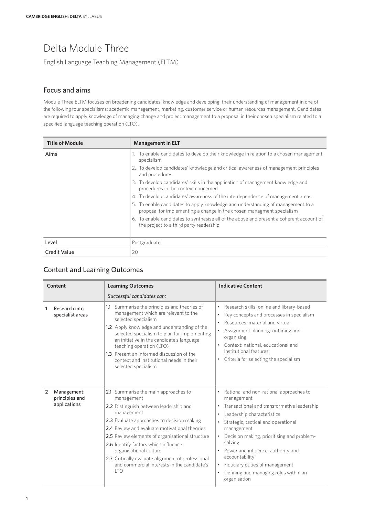## Delta Module Three

English Language Teaching Management (ELTM)

## Focus and aims

Module Three ELTM focuses on broadening candidates' knowledge and developing their understanding of management in one of the following four specialisms: acedemic management, marketing, customer service or human resources management. Candidates are required to apply knowledge of managing change and project management to a proposal in their chosen specialism related to a specified language teaching operation (LTO).

| <b>Title of Module</b> | <b>Management in ELT</b>                                                                                                                                 |  |
|------------------------|----------------------------------------------------------------------------------------------------------------------------------------------------------|--|
| Aims                   | 1. To enable candidates to develop their knowledge in relation to a chosen management<br>specialism                                                      |  |
|                        | 2. To develop candidates' knowledge and critical awareness of management principles<br>and procedures                                                    |  |
|                        | 3. To develop candidates' skills in the application of management knowledge and<br>procedures in the context concerned                                   |  |
|                        | 4. To develop candidates' awareness of the interdependence of management areas                                                                           |  |
|                        | 5. To enable candidates to apply knowledge and understanding of management to a<br>proposal for implementing a change in the chosen managment specialism |  |
|                        | 6. To enable candidates to synthesise all of the above and present a coherent account of<br>the project to a third party readership                      |  |
| Level                  | Postgraduate                                                                                                                                             |  |
| <b>Credit Value</b>    | 20                                                                                                                                                       |  |

## Content and Learning Outcomes

| Content        |                                               | <b>Learning Outcomes</b>                                                                                                                                                                                                                                                                                                                                                                                                                         | <b>Indicative Content</b>                                                                                                                                                                                                                                                                                                                                                                                                                            |
|----------------|-----------------------------------------------|--------------------------------------------------------------------------------------------------------------------------------------------------------------------------------------------------------------------------------------------------------------------------------------------------------------------------------------------------------------------------------------------------------------------------------------------------|------------------------------------------------------------------------------------------------------------------------------------------------------------------------------------------------------------------------------------------------------------------------------------------------------------------------------------------------------------------------------------------------------------------------------------------------------|
|                |                                               | Successful candidates can:                                                                                                                                                                                                                                                                                                                                                                                                                       |                                                                                                                                                                                                                                                                                                                                                                                                                                                      |
| 1              | Research into<br>specialist areas             | 1.1 Summarise the principles and theories of<br>management which are relevant to the<br>selected specialism<br>1.2 Apply knowledge and understanding of the<br>selected specialism to plan for implementing<br>an initiative in the candidate's language<br>teaching operation (LTO)<br>1.3 Present an informed discussion of the<br>context and institutional needs in their<br>selected specialism                                             | Research skills: online and library-based<br>٠<br>Key concepts and processes in specialism<br>$\bullet$<br>Resources: material and virtual<br>$\bullet$<br>Assignment planning: outlining and<br>organising<br>Context: national, educational and<br>$\bullet$<br>institutional features<br>Criteria for selecting the specialism<br>$\bullet$                                                                                                       |
| $\overline{2}$ | Management:<br>principles and<br>applications | 2.1 Summarise the main approaches to<br>management<br>2.2 Distinguish between leadership and<br>management<br>2.3 Evaluate approaches to decision making<br>2.4 Review and evaluate motivational theories<br>2.5 Review elements of organisational structure<br>2.6 Identify factors which influence<br>organisational culture<br>2.7 Critically evaluate alignment of professional<br>and commercial interests in the candidate's<br><b>LTO</b> | Rational and non-rational approaches to<br>management<br>Transactional and transformative leadership<br>$\bullet$<br>Leadership characteristics<br>٠<br>Strategic, tactical and operational<br>management<br>Decision making, prioritising and problem-<br>$\bullet$<br>solving<br>Power and influence, authority and<br>accountability<br>Fiduciary duties of management<br>$\bullet$<br>Defining and managing roles within an<br>٠<br>organisation |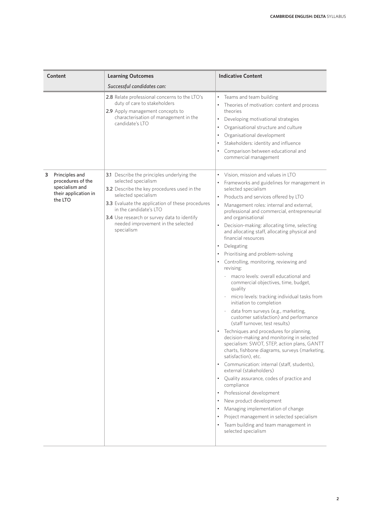| Content                                                                                       | <b>Learning Outcomes</b>                                                                                                                                                                                                                                                                                                 | <b>Indicative Content</b>                                                                                                                                                                                                                                                                                                                                                                                                                                                                                                                                                                                                                                                                                                                                                                                                                                                                                                                                                                                                                                                                                                                                                                                                                                                                                                                                       |
|-----------------------------------------------------------------------------------------------|--------------------------------------------------------------------------------------------------------------------------------------------------------------------------------------------------------------------------------------------------------------------------------------------------------------------------|-----------------------------------------------------------------------------------------------------------------------------------------------------------------------------------------------------------------------------------------------------------------------------------------------------------------------------------------------------------------------------------------------------------------------------------------------------------------------------------------------------------------------------------------------------------------------------------------------------------------------------------------------------------------------------------------------------------------------------------------------------------------------------------------------------------------------------------------------------------------------------------------------------------------------------------------------------------------------------------------------------------------------------------------------------------------------------------------------------------------------------------------------------------------------------------------------------------------------------------------------------------------------------------------------------------------------------------------------------------------|
|                                                                                               | Successful candidates can:                                                                                                                                                                                                                                                                                               |                                                                                                                                                                                                                                                                                                                                                                                                                                                                                                                                                                                                                                                                                                                                                                                                                                                                                                                                                                                                                                                                                                                                                                                                                                                                                                                                                                 |
|                                                                                               | 2.8 Relate professional concerns to the LTO's<br>duty of care to stakeholders<br>2.9 Apply management concepts to<br>characterisation of management in the<br>candidate's LTO                                                                                                                                            | Teams and team building<br>Theories of motivation: content and process<br>theories<br>Developing motivational strategies<br>$\bullet$<br>Organisational structure and culture<br>Organisational development<br>Stakeholders: identity and influence<br>Comparison between educational and<br>commercial management                                                                                                                                                                                                                                                                                                                                                                                                                                                                                                                                                                                                                                                                                                                                                                                                                                                                                                                                                                                                                                              |
| 3<br>Principles and<br>procedures of the<br>specialism and<br>their application in<br>the LTO | 3.1 Describe the principles underlying the<br>selected specialism<br>3.2 Describe the key procedures used in the<br>selected specialism<br>3.3 Evaluate the application of these procedures<br>in the candidate's LTO<br>3.4 Use research or survey data to identify<br>needed improvement in the selected<br>specialism | • Vision, mission and values in LTO<br>Frameworks and guidelines for management in<br>selected specialism<br>Products and services offered by LTO<br>Management roles: internal and external,<br>professional and commercial, entrepreneurial<br>and organisational<br>Decision-making: allocating time, selecting<br>and allocating staff, allocating physical and<br>financial resources<br>Delegating<br>Prioritising and problem-solving<br>Controlling, monitoring, reviewing and<br>٠<br>revising:<br>macro levels: overall educational and<br>commercial objectives, time, budget,<br>quality<br>micro levels: tracking individual tasks from<br>initiation to completion<br>data from surveys (e.g., marketing,<br>customer satisfaction) and performance<br>(staff turnover, test results)<br>Techniques and procedures for planning,<br>decision-making and monitoring in selected<br>specialism: SWOT, STEP, action plans, GANTT<br>charts, fishbone diagrams, surveys (marketing,<br>satisfaction), etc.<br>Communication: internal (staff, students),<br>external (stakeholders)<br>Quality assurance, codes of practice and<br>compliance<br>Professional development<br>New product development<br>Managing implementation of change<br>Project management in selected specialism<br>Team building and team management in<br>selected specialism |